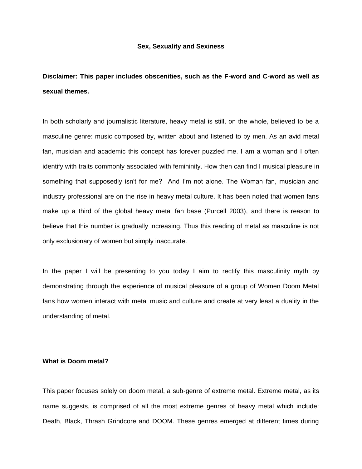### **Sex, Sexuality and Sexiness**

**Disclaimer: This paper includes obscenities, such as the F-word and C-word as well as sexual themes.** 

In both scholarly and journalistic literature, heavy metal is still, on the whole, believed to be a masculine genre: music composed by, written about and listened to by men. As an avid metal fan, musician and academic this concept has forever puzzled me. I am a woman and I often identify with traits commonly associated with femininity. How then can find I musical pleasure in something that supposedly isn't for me? And I'm not alone. The Woman fan, musician and industry professional are on the rise in heavy metal culture. It has been noted that women fans make up a third of the global heavy metal fan base (Purcell 2003), and there is reason to believe that this number is gradually increasing. Thus this reading of metal as masculine is not only exclusionary of women but simply inaccurate.

In the paper I will be presenting to you today I aim to rectify this masculinity myth by demonstrating through the experience of musical pleasure of a group of Women Doom Metal fans how women interact with metal music and culture and create at very least a duality in the understanding of metal.

## **What is Doom metal?**

This paper focuses solely on doom metal, a sub-genre of extreme metal. Extreme metal, as its name suggests, is comprised of all the most extreme genres of heavy metal which include: Death, Black, Thrash Grindcore and DOOM. These genres emerged at different times during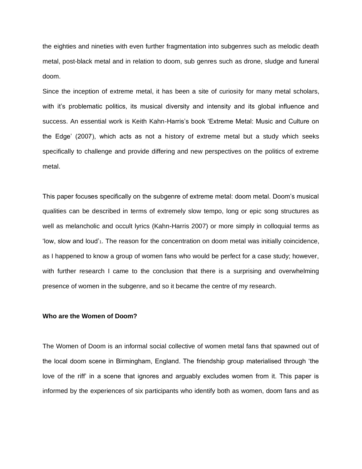the eighties and nineties with even further fragmentation into subgenres such as melodic death metal, post-black metal and in relation to doom, sub genres such as drone, sludge and funeral doom.

Since the inception of extreme metal, it has been a site of curiosity for many metal scholars, with it's problematic politics, its musical diversity and intensity and its global influence and success. An essential work is Keith Kahn-Harris's book 'Extreme Metal: Music and Culture on the Edge' (2007), which acts as not a history of extreme metal but a study which seeks specifically to challenge and provide differing and new perspectives on the politics of extreme metal.

This paper focuses specifically on the subgenre of extreme metal: doom metal. Doom's musical qualities can be described in terms of extremely slow tempo, long or epic song structures as well as melancholic and occult lyrics (Kahn-Harris 2007) or more simply in colloquial terms as 'low, slow and loud'1. The reason for the concentration on doom metal was initially coincidence, as I happened to know a group of women fans who would be perfect for a case study; however, with further research I came to the conclusion that there is a surprising and overwhelming presence of women in the subgenre, and so it became the centre of my research.

### **Who are the Women of Doom?**

The Women of Doom is an informal social collective of women metal fans that spawned out of the local doom scene in Birmingham, England. The friendship group materialised through 'the love of the riff' in a scene that ignores and arguably excludes women from it. This paper is informed by the experiences of six participants who identify both as women, doom fans and as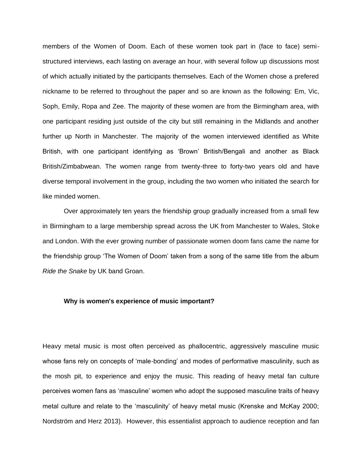members of the Women of Doom. Each of these women took part in (face to face) semistructured interviews, each lasting on average an hour, with several follow up discussions most of which actually initiated by the participants themselves. Each of the Women chose a prefered nickname to be referred to throughout the paper and so are known as the following: Em, Vic, Soph, Emily, Ropa and Zee. The majority of these women are from the Birmingham area, with one participant residing just outside of the city but still remaining in the Midlands and another further up North in Manchester. The majority of the women interviewed identified as White British, with one participant identifying as 'Brown' British/Bengali and another as Black British/Zimbabwean. The women range from twenty-three to forty-two years old and have diverse temporal involvement in the group, including the two women who initiated the search for like minded women.

Over approximately ten years the friendship group gradually increased from a small few in Birmingham to a large membership spread across the UK from Manchester to Wales, Stoke and London. With the ever growing number of passionate women doom fans came the name for the friendship group 'The Women of Doom' taken from a song of the same title from the album *Ride the Snake* by UK band Groan.

### **Why is women's experience of music important?**

Heavy metal music is most often perceived as phallocentric, aggressively masculine music whose fans rely on concepts of 'male-bonding' and modes of performative masculinity, such as the mosh pit, to experience and enjoy the music. This reading of heavy metal fan culture perceives women fans as 'masculine' women who adopt the supposed masculine traits of heavy metal culture and relate to the 'masculinity' of heavy metal music (Krenske and McKay 2000; Nordström and Herz 2013). However, this essentialist approach to audience reception and fan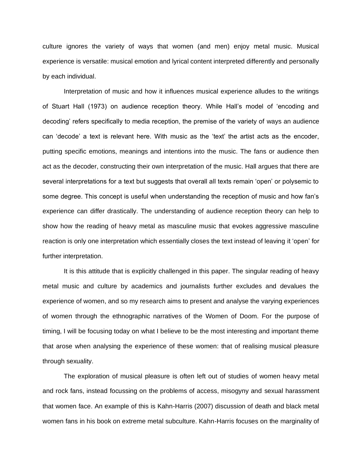culture ignores the variety of ways that women (and men) enjoy metal music. Musical experience is versatile: musical emotion and lyrical content interpreted differently and personally by each individual.

Interpretation of music and how it influences musical experience alludes to the writings of Stuart Hall (1973) on audience reception theory. While Hall's model of 'encoding and decoding' refers specifically to media reception, the premise of the variety of ways an audience can 'decode' a text is relevant here. With music as the 'text' the artist acts as the encoder, putting specific emotions, meanings and intentions into the music. The fans or audience then act as the decoder, constructing their own interpretation of the music. Hall argues that there are several interpretations for a text but suggests that overall all texts remain 'open' or polysemic to some degree. This concept is useful when understanding the reception of music and how fan's experience can differ drastically. The understanding of audience reception theory can help to show how the reading of heavy metal as masculine music that evokes aggressive masculine reaction is only one interpretation which essentially closes the text instead of leaving it 'open' for further interpretation.

It is this attitude that is explicitly challenged in this paper. The singular reading of heavy metal music and culture by academics and journalists further excludes and devalues the experience of women, and so my research aims to present and analyse the varying experiences of women through the ethnographic narratives of the Women of Doom. For the purpose of timing, I will be focusing today on what I believe to be the most interesting and important theme that arose when analysing the experience of these women: that of realising musical pleasure through sexuality.

The exploration of musical pleasure is often left out of studies of women heavy metal and rock fans, instead focussing on the problems of access, misogyny and sexual harassment that women face. An example of this is Kahn-Harris (2007) discussion of death and black metal women fans in his book on extreme metal subculture. Kahn-Harris focuses on the marginality of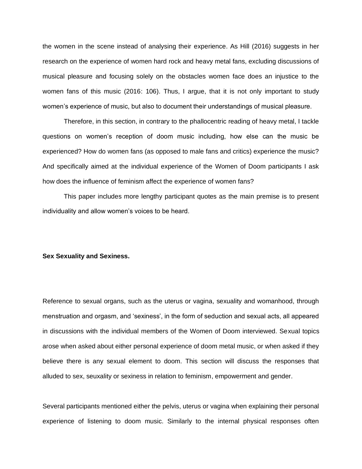the women in the scene instead of analysing their experience. As Hill (2016) suggests in her research on the experience of women hard rock and heavy metal fans, excluding discussions of musical pleasure and focusing solely on the obstacles women face does an injustice to the women fans of this music (2016: 106). Thus, I argue, that it is not only important to study women's experience of music, but also to document their understandings of musical pleasure.

Therefore, in this section, in contrary to the phallocentric reading of heavy metal, I tackle questions on women's reception of doom music including, how else can the music be experienced? How do women fans (as opposed to male fans and critics) experience the music? And specifically aimed at the individual experience of the Women of Doom participants I ask how does the influence of feminism affect the experience of women fans?

This paper includes more lengthy participant quotes as the main premise is to present individuality and allow women's voices to be heard.

#### **Sex Sexuality and Sexiness.**

Reference to sexual organs, such as the uterus or vagina, sexuality and womanhood, through menstruation and orgasm, and 'sexiness', in the form of seduction and sexual acts, all appeared in discussions with the individual members of the Women of Doom interviewed. Sexual topics arose when asked about either personal experience of doom metal music, or when asked if they believe there is any sexual element to doom. This section will discuss the responses that alluded to sex, seuxality or sexiness in relation to feminism, empowerment and gender.

Several participants mentioned either the pelvis, uterus or vagina when explaining their personal experience of listening to doom music. Similarly to the internal physical responses often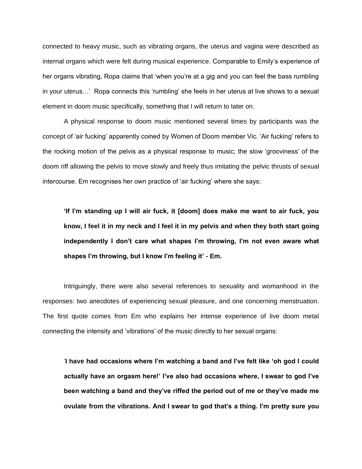connected to heavy music, such as vibrating organs, the uterus and vagina were described as internal organs which were felt during musical experience. Comparable to Emily's experience of her organs vibrating, Ropa claims that 'when you're at a gig and you can feel the bass rumbling in your uterus…' Ropa connects this 'rumbling' she feels in her uterus at live shows to a sexual element in doom music specifically, something that I will return to later on.

A physical response to doom music mentioned several times by participants was the concept of 'air fucking' apparently coined by Women of Doom member Vic. 'Air fucking' refers to the rocking motion of the pelvis as a physical response to music; the slow 'grooviness' of the doom riff allowing the pelvis to move slowly and freely thus imitating the pelvic thrusts of sexual intercourse. Em recognises her own practice of 'air fucking' where she says:

**'If I'm standing up I will air fuck, it [doom] does make me want to air fuck, you know, I feel it in my neck and I feel it in my pelvis and when they both start going independently I don't care what shapes I'm throwing, I'm not even aware what shapes I'm throwing, but I know I'm feeling it' - Em.** 

Intriguingly, there were also several references to sexuality and womanhood in the responses: two anecdotes of experiencing sexual pleasure, and one concerning menstruation. The first quote comes from Em who explains her intense experience of live doom metal connecting the intensity and 'vibrations' of the music directly to her sexual organs:

'**I have had occasions where I'm watching a band and I've felt like 'oh god I could actually have an orgasm here!' I've also had occasions where, I swear to god I've been watching a band and they've riffed the period out of me or they've made me ovulate from the vibrations. And I swear to god that's a thing. I'm pretty sure you**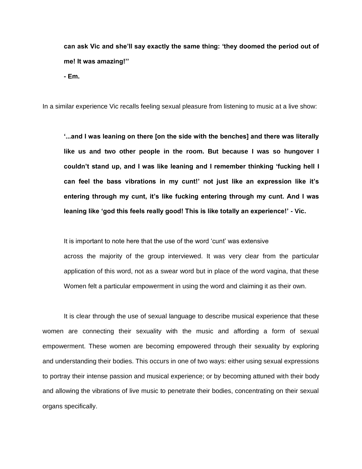**can ask Vic and she'll say exactly the same thing: 'they doomed the period out of me! It was amazing!''** 

**- Em.** 

In a similar experience Vic recalls feeling sexual pleasure from listening to music at a live show:

**'...and I was leaning on there [on the side with the benches] and there was literally like us and two other people in the room. But because I was so hungover I couldn't stand up, and I was like leaning and I remember thinking 'fucking hell I can feel the bass vibrations in my cunt!' not just like an expression like it's entering through my cunt, it's like fucking entering through my cunt. And I was leaning like 'god this feels really good! This is like totally an experience!' - Vic.** 

It is important to note here that the use of the word 'cunt' was extensive

across the majority of the group interviewed. It was very clear from the particular application of this word, not as a swear word but in place of the word vagina, that these Women felt a particular empowerment in using the word and claiming it as their own.

It is clear through the use of sexual language to describe musical experience that these women are connecting their sexuality with the music and affording a form of sexual empowerment. These women are becoming empowered through their sexuality by exploring and understanding their bodies. This occurs in one of two ways: either using sexual expressions to portray their intense passion and musical experience; or by becoming attuned with their body and allowing the vibrations of live music to penetrate their bodies, concentrating on their sexual organs specifically.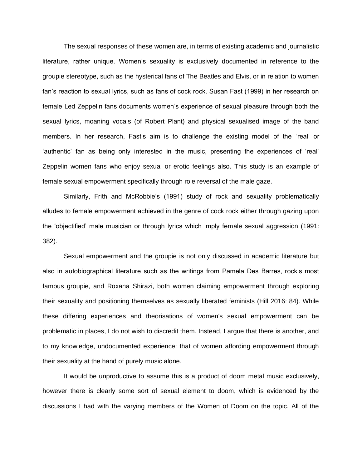The sexual responses of these women are, in terms of existing academic and journalistic literature, rather unique. Women's sexuality is exclusively documented in reference to the groupie stereotype, such as the hysterical fans of The Beatles and Elvis, or in relation to women fan's reaction to sexual lyrics, such as fans of cock rock. Susan Fast (1999) in her research on female Led Zeppelin fans documents women's experience of sexual pleasure through both the sexual lyrics, moaning vocals (of Robert Plant) and physical sexualised image of the band members. In her research, Fast's aim is to challenge the existing model of the 'real' or 'authentic' fan as being only interested in the music, presenting the experiences of 'real' Zeppelin women fans who enjoy sexual or erotic feelings also. This study is an example of female sexual empowerment specifically through role reversal of the male gaze.

Similarly, Frith and McRobbie's (1991) study of rock and sexuality problematically alludes to female empowerment achieved in the genre of cock rock either through gazing upon the 'objectified' male musician or through lyrics which imply female sexual aggression (1991: 382).

Sexual empowerment and the groupie is not only discussed in academic literature but also in autobiographical literature such as the writings from Pamela Des Barres, rock's most famous groupie, and Roxana Shirazi, both women claiming empowerment through exploring their sexuality and positioning themselves as sexually liberated feminists (Hill 2016: 84). While these differing experiences and theorisations of women's sexual empowerment can be problematic in places, I do not wish to discredit them. Instead, I argue that there is another, and to my knowledge, undocumented experience: that of women affording empowerment through their sexuality at the hand of purely music alone.

It would be unproductive to assume this is a product of doom metal music exclusively, however there is clearly some sort of sexual element to doom, which is evidenced by the discussions I had with the varying members of the Women of Doom on the topic. All of the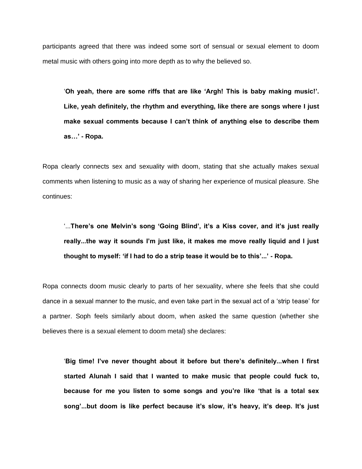participants agreed that there was indeed some sort of sensual or sexual element to doom metal music with others going into more depth as to why the believed so.

'**Oh yeah, there are some riffs that are like 'Argh! This is baby making music!'. Like, yeah definitely, the rhythm and everything, like there are songs where I just make sexual comments because I can't think of anything else to describe them as…' - Ropa.** 

Ropa clearly connects sex and sexuality with doom, stating that she actually makes sexual comments when listening to music as a way of sharing her experience of musical pleasure. She continues:

'...**There's one Melvin's song 'Going Blind', it's a Kiss cover, and it's just really really...the way it sounds I'm just like, it makes me move really liquid and I just thought to myself: 'if I had to do a strip tease it would be to this'...' - Ropa.** 

Ropa connects doom music clearly to parts of her sexuality, where she feels that she could dance in a sexual manner to the music, and even take part in the sexual act of a 'strip tease' for a partner. Soph feels similarly about doom, when asked the same question (whether she believes there is a sexual element to doom metal) she declares:

'**Big time! I've never thought about it before but there's definitely...when I first started Alunah I said that I wanted to make music that people could fuck to, because for me you listen to some songs and you're like 'that is a total sex song'...but doom is like perfect because it's slow, it's heavy, it's deep. It's just**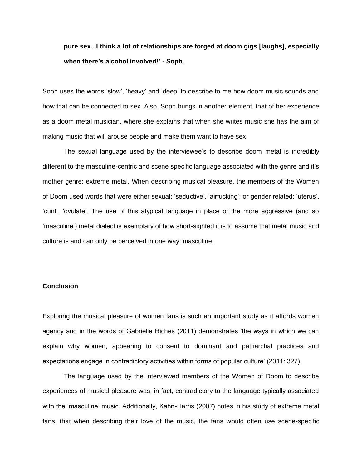**pure sex...I think a lot of relationships are forged at doom gigs [laughs], especially when there's alcohol involved!' - Soph.** 

Soph uses the words 'slow', 'heavy' and 'deep' to describe to me how doom music sounds and how that can be connected to sex. Also, Soph brings in another element, that of her experience as a doom metal musician, where she explains that when she writes music she has the aim of making music that will arouse people and make them want to have sex.

The sexual language used by the interviewee's to describe doom metal is incredibly different to the masculine-centric and scene specific language associated with the genre and it's mother genre: extreme metal. When describing musical pleasure, the members of the Women of Doom used words that were either sexual: 'seductive', 'airfucking'; or gender related: 'uterus', 'cunt', 'ovulate'. The use of this atypical language in place of the more aggressive (and so 'masculine') metal dialect is exemplary of how short-sighted it is to assume that metal music and culture is and can only be perceived in one way: masculine.

# **Conclusion**

Exploring the musical pleasure of women fans is such an important study as it affords women agency and in the words of Gabrielle Riches (2011) demonstrates 'the ways in which we can explain why women, appearing to consent to dominant and patriarchal practices and expectations engage in contradictory activities within forms of popular culture' (2011: 327).

The language used by the interviewed members of the Women of Doom to describe experiences of musical pleasure was, in fact, contradictory to the language typically associated with the 'masculine' music. Additionally, Kahn-Harris (2007) notes in his study of extreme metal fans, that when describing their love of the music, the fans would often use scene-specific